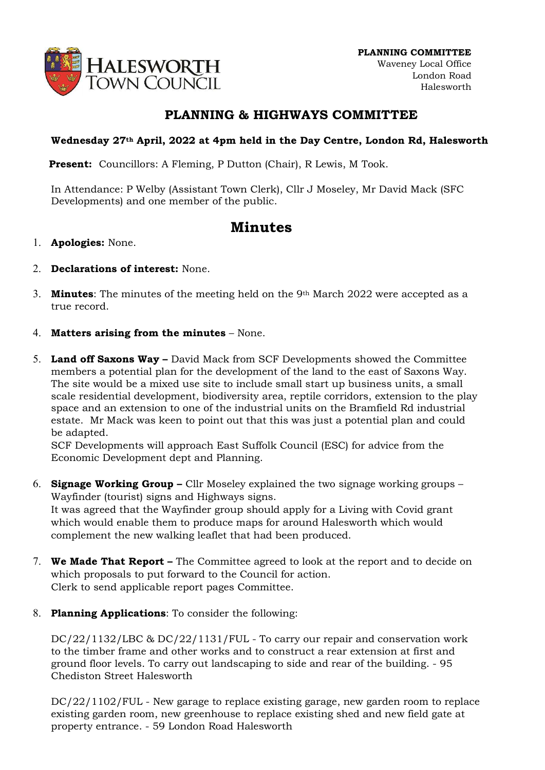

## PLANNING & HIGHWAYS COMMITTEE

## Wednesday 27th April, 2022 at 4pm held in the Day Centre, London Rd, Halesworth

**Present:** Councillors: A Fleming, P Dutton (Chair), R Lewis, M Took.

In Attendance: P Welby (Assistant Town Clerk), Cllr J Moseley, Mr David Mack (SFC Developments) and one member of the public.

## Minutes

- 1. Apologies: None.
- 2. Declarations of interest: None.
- 3. **Minutes:** The minutes of the meeting held on the 9<sup>th</sup> March 2022 were accepted as a true record.
- 4. Matters arising from the minutes None.
- 5. Land off Saxons Way David Mack from SCF Developments showed the Committee members a potential plan for the development of the land to the east of Saxons Way. The site would be a mixed use site to include small start up business units, a small scale residential development, biodiversity area, reptile corridors, extension to the play space and an extension to one of the industrial units on the Bramfield Rd industrial estate. Mr Mack was keen to point out that this was just a potential plan and could be adapted.

SCF Developments will approach East Suffolk Council (ESC) for advice from the Economic Development dept and Planning.

- 6. Signage Working Group Cllr Moseley explained the two signage working groups Wayfinder (tourist) signs and Highways signs. It was agreed that the Wayfinder group should apply for a Living with Covid grant which would enable them to produce maps for around Halesworth which would complement the new walking leaflet that had been produced.
- 7. We Made That Report The Committee agreed to look at the report and to decide on which proposals to put forward to the Council for action. Clerk to send applicable report pages Committee.
- 8. Planning Applications: To consider the following:

DC/22/1132/LBC & DC/22/1131/FUL - To carry our repair and conservation work to the timber frame and other works and to construct a rear extension at first and ground floor levels. To carry out landscaping to side and rear of the building. - 95 Chediston Street Halesworth

DC/22/1102/FUL - New garage to replace existing garage, new garden room to replace existing garden room, new greenhouse to replace existing shed and new field gate at property entrance. - 59 London Road Halesworth